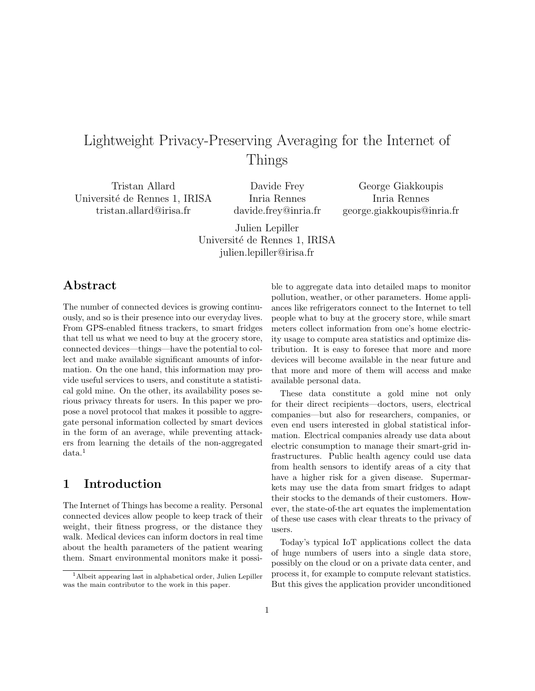# Lightweight Privacy-Preserving Averaging for the Internet of Things

Tristan Allard Université de Rennes 1, IRISA tristan.allard@irisa.fr

Davide Frey Inria Rennes davide.frey@inria.fr

George Giakkoupis Inria Rennes george.giakkoupis@inria.fr

Julien Lepiller Université de Rennes 1, IRISA julien.lepiller@irisa.fr

### Abstract

The number of connected devices is growing continuously, and so is their presence into our everyday lives. From GPS-enabled fitness trackers, to smart fridges that tell us what we need to buy at the grocery store, connected devices—things—have the potential to collect and make available significant amounts of information. On the one hand, this information may provide useful services to users, and constitute a statistical gold mine. On the other, its availability poses serious privacy threats for users. In this paper we propose a novel protocol that makes it possible to aggregate personal information collected by smart devices in the form of an average, while preventing attackers from learning the details of the non-aggregated data.<sup>1</sup>

### 1 Introduction

The Internet of Things has become a reality. Personal connected devices allow people to keep track of their weight, their fitness progress, or the distance they walk. Medical devices can inform doctors in real time about the health parameters of the patient wearing them. Smart environmental monitors make it possible to aggregate data into detailed maps to monitor pollution, weather, or other parameters. Home appliances like refrigerators connect to the Internet to tell people what to buy at the grocery store, while smart meters collect information from one's home electricity usage to compute area statistics and optimize distribution. It is easy to foresee that more and more devices will become available in the near future and that more and more of them will access and make available personal data.

These data constitute a gold mine not only for their direct recipients—doctors, users, electrical companies—but also for researchers, companies, or even end users interested in global statistical information. Electrical companies already use data about electric consumption to manage their smart-grid infrastructures. Public health agency could use data from health sensors to identify areas of a city that have a higher risk for a given disease. Supermarkets may use the data from smart fridges to adapt their stocks to the demands of their customers. However, the state-of-the art equates the implementation of these use cases with clear threats to the privacy of users.

Today's typical IoT applications collect the data of huge numbers of users into a single data store, possibly on the cloud or on a private data center, and process it, for example to compute relevant statistics. But this gives the application provider unconditioned

<sup>1</sup>Albeit appearing last in alphabetical order, Julien Lepiller was the main contributor to the work in this paper.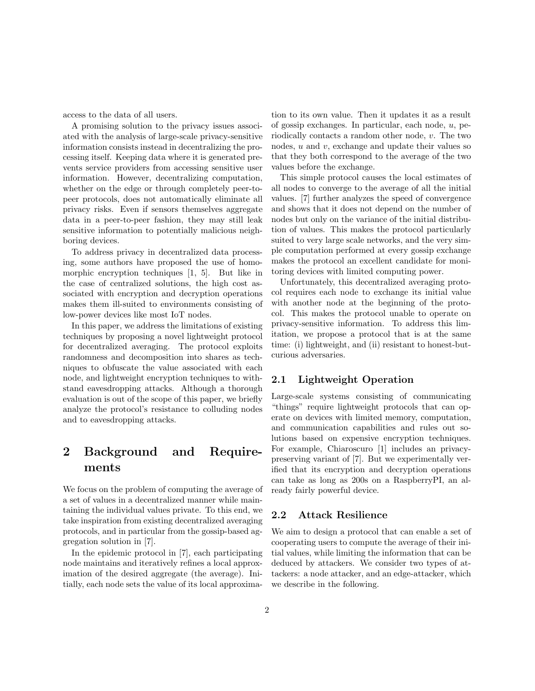access to the data of all users.

A promising solution to the privacy issues associated with the analysis of large-scale privacy-sensitive information consists instead in decentralizing the processing itself. Keeping data where it is generated prevents service providers from accessing sensitive user information. However, decentralizing computation, whether on the edge or through completely peer-topeer protocols, does not automatically eliminate all privacy risks. Even if sensors themselves aggregate data in a peer-to-peer fashion, they may still leak sensitive information to potentially malicious neighboring devices.

To address privacy in decentralized data processing, some authors have proposed the use of homomorphic encryption techniques [1, 5]. But like in the case of centralized solutions, the high cost associated with encryption and decryption operations makes them ill-suited to environments consisting of low-power devices like most IoT nodes.

In this paper, we address the limitations of existing techniques by proposing a novel lightweight protocol for decentralized averaging. The protocol exploits randomness and decomposition into shares as techniques to obfuscate the value associated with each node, and lightweight encryption techniques to withstand eavesdropping attacks. Although a thorough evaluation is out of the scope of this paper, we briefly analyze the protocol's resistance to colluding nodes and to eavesdropping attacks.

## 2 Background and Requirements

We focus on the problem of computing the average of a set of values in a decentralized manner while maintaining the individual values private. To this end, we take inspiration from existing decentralized averaging protocols, and in particular from the gossip-based aggregation solution in [7].

In the epidemic protocol in [7], each participating node maintains and iteratively refines a local approximation of the desired aggregate (the average). Initially, each node sets the value of its local approximation to its own value. Then it updates it as a result of gossip exchanges. In particular, each node, u, periodically contacts a random other node, v. The two nodes,  $u$  and  $v$ , exchange and update their values so that they both correspond to the average of the two values before the exchange.

This simple protocol causes the local estimates of all nodes to converge to the average of all the initial values. [7] further analyzes the speed of convergence and shows that it does not depend on the number of nodes but only on the variance of the initial distribution of values. This makes the protocol particularly suited to very large scale networks, and the very simple computation performed at every gossip exchange makes the protocol an excellent candidate for monitoring devices with limited computing power.

Unfortunately, this decentralized averaging protocol requires each node to exchange its initial value with another node at the beginning of the protocol. This makes the protocol unable to operate on privacy-sensitive information. To address this limitation, we propose a protocol that is at the same time: (i) lightweight, and (ii) resistant to honest-butcurious adversaries.

#### 2.1 Lightweight Operation

Large-scale systems consisting of communicating "things" require lightweight protocols that can operate on devices with limited memory, computation, and communication capabilities and rules out solutions based on expensive encryption techniques. For example, Chiaroscuro [1] includes an privacypreserving variant of [7]. But we experimentally verified that its encryption and decryption operations can take as long as 200s on a RaspberryPI, an already fairly powerful device.

#### 2.2 Attack Resilience

We aim to design a protocol that can enable a set of cooperating users to compute the average of their initial values, while limiting the information that can be deduced by attackers. We consider two types of attackers: a node attacker, and an edge-attacker, which we describe in the following.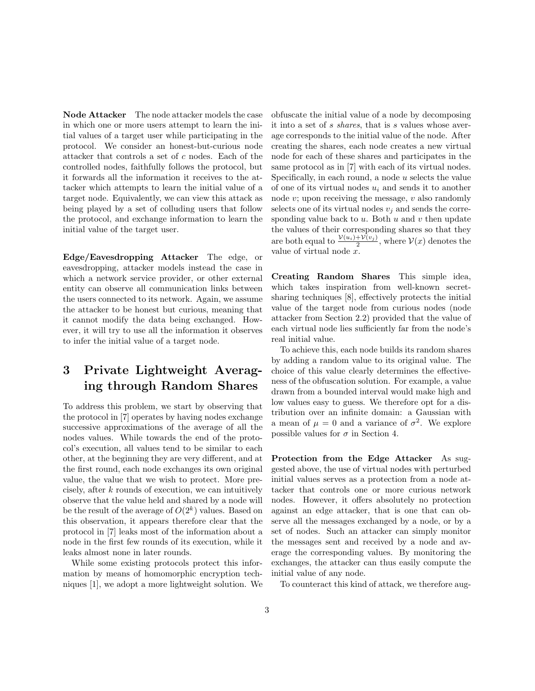Node Attacker The node attacker models the case in which one or more users attempt to learn the initial values of a target user while participating in the protocol. We consider an honest-but-curious node attacker that controls a set of c nodes. Each of the controlled nodes, faithfully follows the protocol, but it forwards all the information it receives to the attacker which attempts to learn the initial value of a target node. Equivalently, we can view this attack as being played by a set of colluding users that follow the protocol, and exchange information to learn the initial value of the target user.

Edge/Eavesdropping Attacker The edge, or eavesdropping, attacker models instead the case in which a network service provider, or other external entity can observe all communication links between the users connected to its network. Again, we assume the attacker to be honest but curious, meaning that it cannot modify the data being exchanged. However, it will try to use all the information it observes to infer the initial value of a target node.

## 3 Private Lightweight Averaging through Random Shares

To address this problem, we start by observing that the protocol in [7] operates by having nodes exchange successive approximations of the average of all the nodes values. While towards the end of the protocol's execution, all values tend to be similar to each other, at the beginning they are very different, and at the first round, each node exchanges its own original value, the value that we wish to protect. More precisely, after k rounds of execution, we can intuitively observe that the value held and shared by a node will be the result of the average of  $O(2<sup>k</sup>)$  values. Based on this observation, it appears therefore clear that the protocol in [7] leaks most of the information about a node in the first few rounds of its execution, while it leaks almost none in later rounds.

While some existing protocols protect this information by means of homomorphic encryption techniques [1], we adopt a more lightweight solution. We obfuscate the initial value of a node by decomposing it into a set of s shares, that is s values whose average corresponds to the initial value of the node. After creating the shares, each node creates a new virtual node for each of these shares and participates in the same protocol as in [7] with each of its virtual nodes. Specifically, in each round, a node  $u$  selects the value of one of its virtual nodes  $u_i$  and sends it to another node  $v$ ; upon receiving the message,  $v$  also randomly selects one of its virtual nodes  $v_i$  and sends the corresponding value back to  $u$ . Both  $u$  and  $v$  then update the values of their corresponding shares so that they are both equal to  $\frac{\mathcal{V}(u_i)+\mathcal{V}(v_j)}{2}$ , where  $\mathcal{V}(x)$  denotes the value of virtual node x.

Creating Random Shares This simple idea, which takes inspiration from well-known secretsharing techniques [8], effectively protects the initial value of the target node from curious nodes (node attacker from Section 2.2) provided that the value of each virtual node lies sufficiently far from the node's real initial value.

To achieve this, each node builds its random shares by adding a random value to its original value. The choice of this value clearly determines the effectiveness of the obfuscation solution. For example, a value drawn from a bounded interval would make high and low values easy to guess. We therefore opt for a distribution over an infinite domain: a Gaussian with a mean of  $\mu = 0$  and a variance of  $\sigma^2$ . We explore possible values for  $\sigma$  in Section 4.

Protection from the Edge Attacker As suggested above, the use of virtual nodes with perturbed initial values serves as a protection from a node attacker that controls one or more curious network nodes. However, it offers absolutely no protection against an edge attacker, that is one that can observe all the messages exchanged by a node, or by a set of nodes. Such an attacker can simply monitor the messages sent and received by a node and average the corresponding values. By monitoring the exchanges, the attacker can thus easily compute the initial value of any node.

To counteract this kind of attack, we therefore aug-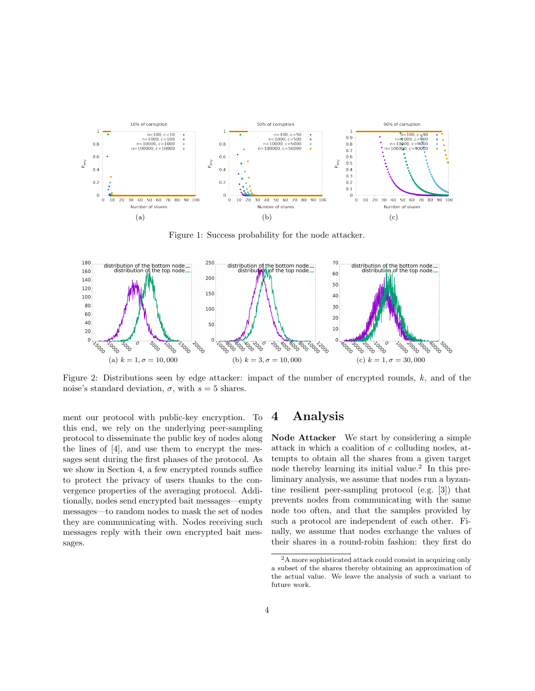

Figure 1: Success probability for the node attacker.



Figure 2: Distributions seen by edge attacker: impact of the number of encrypted rounds,  $k$ , and of the noise's standard deviation,  $\sigma$ , with  $s = 5$  shares.

ment our protocol with public-key encryption. To this end, we rely on the underlying peer-sampling protocol to disseminate the public key of nodes along the lines of [4], and use them to encrypt the messages sent during the first phases of the protocol. As we show in Section 4, a few encrypted rounds suffice to protect the privacy of users thanks to the convergence properties of the averaging protocol. Additionally, nodes send encrypted bait messages—empty messages—to random nodes to mask the set of nodes they are communicating with. Nodes receiving such messages reply with their own encrypted bait messages.

### 4 Analysis

Node Attacker We start by considering a simple attack in which a coalition of c colluding nodes, attempts to obtain all the shares from a given target node thereby learning its initial value.<sup>2</sup> In this preliminary analysis, we assume that nodes run a byzantine resilient peer-sampling protocol (e.g. [3]) that prevents nodes from communicating with the same node too often, and that the samples provided by such a protocol are independent of each other. Finally, we assume that nodes exchange the values of their shares in a round-robin fashion: they first do

<sup>2</sup>A more sophisticated attack could consist in acquiring only a subset of the shares thereby obtaining an approximation of the actual value. We leave the analysis of such a variant to future work.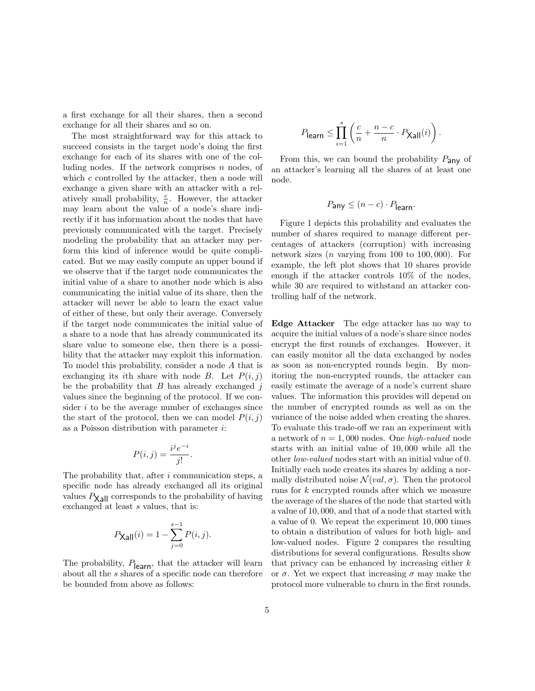a first exchange for all their shares, then a second exchange for all their shares and so on.

The most straightforward way for this attack to succeed consists in the target node's doing the first exchange for each of its shares with one of the colluding nodes. If the network comprises  $n$  nodes, of which  $c$  controlled by the attacker, then a node will exchange a given share with an attacker with a relatively small probability,  $\frac{c}{n}$ . However, the attacker may learn about the value of a node's share indirectly if it has information about the nodes that have previously communicated with the target. Precisely modeling the probability that an attacker may perform this kind of inference would be quite complicated. But we may easily compute an upper bound if we observe that if the target node communicates the initial value of a share to another node which is also communicating the initial value of its share, then the attacker will never be able to learn the exact value of either of these, but only their average. Conversely if the target node communicates the initial value of a share to a node that has already communicated its share value to someone else, then there is a possibility that the attacker may exploit this information. To model this probability, consider a node A that is exchanging its *i*th share with node B. Let  $P(i, j)$ be the probability that  $B$  has already exchanged  $j$ values since the beginning of the protocol. If we consider  $i$  to be the average number of exchanges since the start of the protocol, then we can model  $P(i, j)$ as a Poisson distribution with parameter i:

$$
P(i,j) = \frac{i^j e^{-i}}{j!}.
$$

The probability that, after i communication steps, a specific node has already exchanged all its original values  $P_{\text{Xall}}$  corresponds to the probability of having exchanged at least  $s$  values, that is:

$$
P_{\mathsf{Xall}}(i) = 1 - \sum_{j=0}^{s-1} P(i, j).
$$

The probability,  $P_{\text{learn}}$ , that the attacker will learn about all the s shares of a specific node can therefore be bounded from above as follows:

$$
P_{\mathsf{learn}} \le \prod_{i=1}^s \left( \frac{c}{n} + \frac{n-c}{n} \cdot P_{\mathsf{Xall}}(i) \right).
$$

From this, we can bound the probability  $P_{\text{any}}$  of an attacker's learning all the shares of at least one node.

$$
P_{\mathsf{any}} \le (n-c) \cdot P_{\mathsf{learn}}.
$$

Figure 1 depicts this probability and evaluates the number of shares required to manage different percentages of attackers (corruption) with increasing network sizes  $(n \text{ varying from } 100 \text{ to } 100,000)$ . For example, the left plot shows that 10 shares provide enough if the attacker controls 10% of the nodes, while 30 are required to withstand an attacker controlling half of the network.

Edge Attacker The edge attacker has no way to acquire the initial values of a node's share since nodes encrypt the first rounds of exchanges. However, it can easily monitor all the data exchanged by nodes as soon as non-encrypted rounds begin. By monitoring the non-encrypted rounds, the attacker can easily estimate the average of a node's current share values. The information this provides will depend on the number of encrypted rounds as well as on the variance of the noise added when creating the shares. To evaluate this trade-off we ran an experiment with a network of  $n = 1,000$  nodes. One high-valued node starts with an initial value of 10, 000 while all the other low-valued nodes start with an initial value of 0. Initially each node creates its shares by adding a normally distributed noise  $\mathcal{N}(val, \sigma)$ . Then the protocol runs for k encrypted rounds after which we measure the average of the shares of the node that started with a value of 10, 000, and that of a node that started with a value of 0. We repeat the experiment 10, 000 times to obtain a distribution of values for both high- and low-valued nodes. Figure 2 compares the resulting distributions for several configurations. Results show that privacy can be enhanced by increasing either  $k$ or  $\sigma$ . Yet we expect that increasing  $\sigma$  may make the protocol more vulnerable to churn in the first rounds.